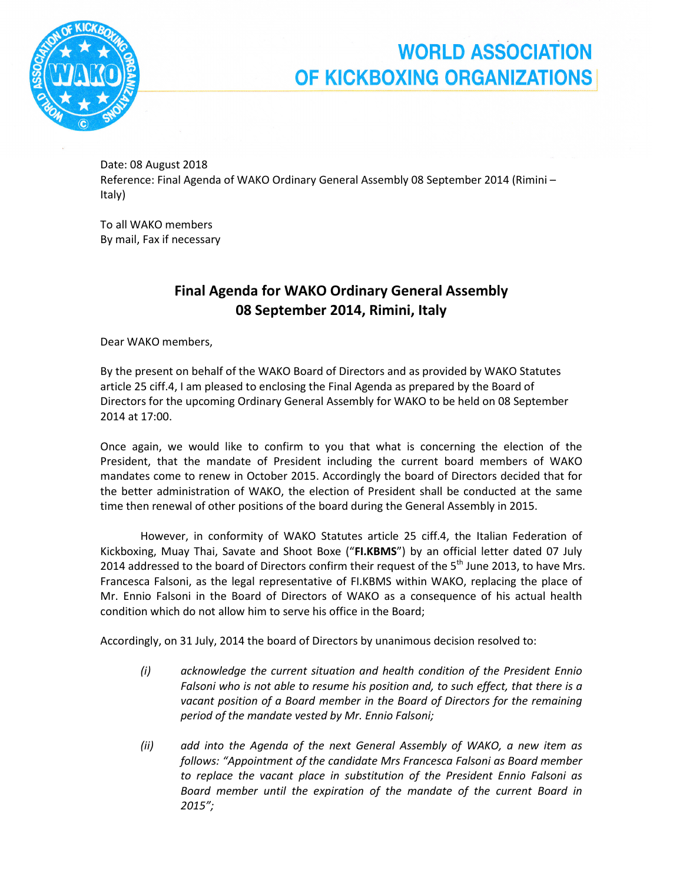

## **WORLD ASSOCIATION** OF KICKBOXING ORGANIZATIONS

Date: 08 August 2018 Reference: Final Agenda of WAKO Ordinary General Assembly 08 September 2014 (Rimini – Italy)

To all WAKO members By mail, Fax if necessary

## Final Agenda for WAKO Ordinary General Assembly 08 September 2014, Rimini, Italy

Dear WAKO members,

By the present on behalf of the WAKO Board of Directors and as provided by WAKO Statutes article 25 ciff.4, I am pleased to enclosing the Final Agenda as prepared by the Board of Directors for the upcoming Ordinary General Assembly for WAKO to be held on 08 September 2014 at 17:00.

Once again, we would like to confirm to you that what is concerning the election of the President, that the mandate of President including the current board members of WAKO mandates come to renew in October 2015. Accordingly the board of Directors decided that for the better administration of WAKO, the election of President shall be conducted at the same time then renewal of other positions of the board during the General Assembly in 2015.

However, in conformity of WAKO Statutes article 25 ciff.4, the Italian Federation of Kickboxing, Muay Thai, Savate and Shoot Boxe ("FI.KBMS") by an official letter dated 07 July 2014 addressed to the board of Directors confirm their request of the  $5<sup>th</sup>$  June 2013, to have Mrs. Francesca Falsoni, as the legal representative of FI.KBMS within WAKO, replacing the place of Mr. Ennio Falsoni in the Board of Directors of WAKO as a consequence of his actual health condition which do not allow him to serve his office in the Board;

Accordingly, on 31 July, 2014 the board of Directors by unanimous decision resolved to:

- (i) acknowledge the current situation and health condition of the President Ennio Falsoni who is not able to resume his position and, to such effect, that there is a vacant position of a Board member in the Board of Directors for the remaining period of the mandate vested by Mr. Ennio Falsoni;
- (ii) add into the Agenda of the next General Assembly of WAKO, a new item as follows: "Appointment of the candidate Mrs Francesca Falsoni as Board member to replace the vacant place in substitution of the President Ennio Falsoni as Board member until the expiration of the mandate of the current Board in 2015";